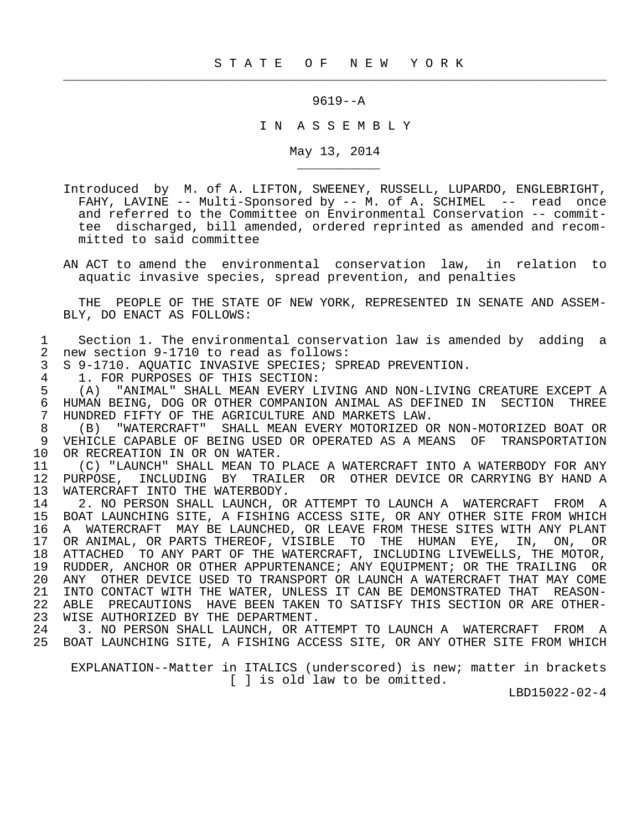$\frac{1}{2}$  , and the contribution of the contribution of the contribution of the contribution of the contribution of the contribution of the contribution of the contribution of the contribution of the contribution of the c

9619--A

I N A S S E M B L Y

May 13, 2014

- Introduced by M. of A. LIFTON, SWEENEY, RUSSELL, LUPARDO, ENGLEBRIGHT, FAHY, LAVINE -- Multi-Sponsored by -- M. of A. SCHIMEL -- read once and referred to the Committee on Environmental Conservation -- commit tee discharged, bill amended, ordered reprinted as amended and recom mitted to said committee
- AN ACT to amend the environmental conservation law, in relation to aquatic invasive species, spread prevention, and penalties

 THE PEOPLE OF THE STATE OF NEW YORK, REPRESENTED IN SENATE AND ASSEM- BLY, DO ENACT AS FOLLOWS:

1 Section 1. The environmental conservation law is amended by adding a<br>2 new section 9-1710 to read as follows: 2 new section 9-1710 to read as follows:<br>3 S 9-1710. AOUATIC INVASIVE SPECIES; SP

3 S 9-1710. AQUATIC INVASIVE SPECIES; SPREAD PREVENTION.<br>4 1. FOR PURPOSES OF THIS SECTION:

4 1. FOR PURPOSES OF THIS SECTION:<br>5 (A) "ANIMAL" SHALL MEAN EVERY L

\_\_\_\_\_\_\_\_\_\_\_

 5 (A) "ANIMAL" SHALL MEAN EVERY LIVING AND NON-LIVING CREATURE EXCEPT A 6 HUMAN BEING, DOG OR OTHER COMPANION ANIMAL AS DEFINED IN SECTION THREE<br>7 HUNDRED FIFTY OF THE AGRICULTURE AND MARKETS LAW. 7 HUNDRED FIFTY OF THE AGRICULTURE AND MARKETS LAW.<br>8 (B) "WATERCRAFT" SHALL MEAN EVERY MOTORIZED O

 8 (B) "WATERCRAFT" SHALL MEAN EVERY MOTORIZED OR NON-MOTORIZED BOAT OR 9 VEHICLE CAPABLE OF BEING USED OR OPERATED AS A MEANS OF TRANSPORTATION 10 OR RECREATION IN OR ON WATER.<br>11 (C) "LAUNCH" SHALL MEAN TO 1

11 (C) "LAUNCH" SHALL MEAN TO PLACE A WATERCRAFT INTO A WATERBODY FOR ANY<br>12 PURPOSE, INCLUDING BY TRAILER OR OTHER DEVICE OR CARRYING BY HAND A 12 PURPOSE, INCLUDING BY TRAILER OR OTHER DEVICE OR CARRYING BY HAND A 13 WATERCRAFT INTO THE WATERBODY. 13 WATERCRAFT INTO THE WATERBODY.<br>14 2. NO PERSON SHALL LAUNCH, O

14 2. NO PERSON SHALL LAUNCH, OR ATTEMPT TO LAUNCH A WATERCRAFT FROM A<br>15 BOAT LAUNCHING SITE, A FISHING ACCESS SITE, OR ANY OTHER SITE FROM WHICH 15 BOAT LAUNCHING SITE, A FISHING ACCESS SITE, OR ANY OTHER SITE FROM WHICH 16 A WATERCRAFT MAY BE LAUNCHED, OR LEAVE FROM THESE SITES WITH ANY PLANT<br>17 OR ANIMAL, OR PARTS THEREOF, VISIBLE TO THE HUMAN EYE, IN, ON, OR 17 OR ANIMAL, OR PARTS THEREOF, VISIBLE TO THE HUMAN EYE, IN, ON, OR<br>18 ATTACHED TO ANY PART OF THE WATERCRAFT, INCLUDING LIVEWELLS, THE MOTOR, 18 ATTACHED TO ANY PART OF THE WATERCRAFT, INCLUDING LIVEWELLS, THE MOTOR,<br>19 RUDDER, ANCHOR OR OTHER APPURTENANCE; ANY EOUIPMENT; OR THE TRAILING OR RUDDER, ANCHOR OR OTHER APPURTENANCE; ANY EOUIPMENT; OR THE TRAILING OR 20 ANY OTHER DEVICE USED TO TRANSPORT OR LAUNCH A WATERCRAFT THAT MAY COME 21 INTO CONTACT WITH THE WATER, UNLESS IT CAN BE DEMONSTRATED THAT REASON-<br>22 ABLE PRECAUTIONS HAVE BEEN TAKEN TO SATISFY THIS SECTION OR ARE OTHER-ABLE PRECAUTIONS HAVE BEEN TAKEN TO SATISFY THIS SECTION OR ARE OTHER-23 WISE AUTHORIZED BY THE DEPARTMENT.<br>24 3. NO PERSON SHALL LAUNCH, OR AT

3. NO PERSON SHALL LAUNCH, OR ATTEMPT TO LAUNCH A WATERCRAFT FROM A 25 BOAT LAUNCHING SITE, A FISHING ACCESS SITE, OR ANY OTHER SITE FROM WHICH

 EXPLANATION--Matter in ITALICS (underscored) is new; matter in brackets [ ] is old law to be omitted.

LBD15022-02-4